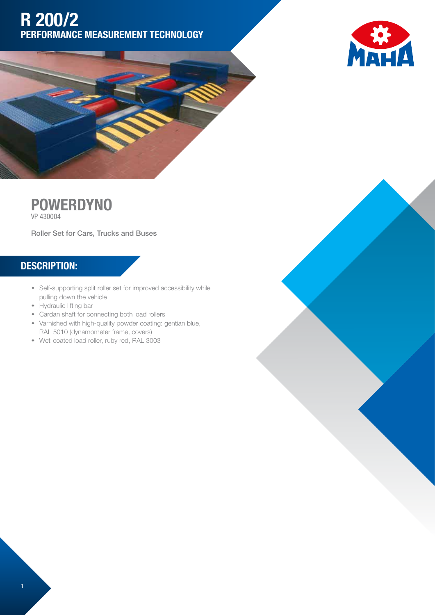## R 200/2 PERFORMANCE MEASUREMENT TECHNOLOGY







Roller Set for Cars, Trucks and Buses

## DESCRIPTION:

- Self-supporting split roller set for improved accessibility while pulling down the vehicle
- Hydraulic lifting bar
- Cardan shaft for connecting both load rollers
- Varnished with high-quality powder coating: gentian blue, RAL 5010 (dynamometer frame, covers)
- w Wet-coated load roller, ruby red, RAL 3003